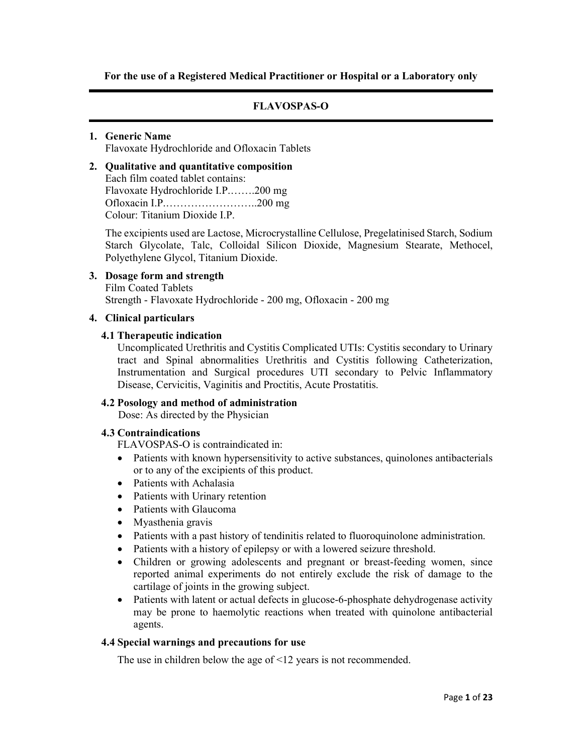For the use of a Registered Medical Practitioner or Hospital or a Laboratory only

# FLAVOSPAS-O

### 1. Generic Name

Flavoxate Hydrochloride and Ofloxacin Tablets

### 2. Qualitative and quantitative composition Each film coated tablet contains: Flavoxate Hydrochloride I.P.…….200 mg Ofloxacin I.P.……………………..200 mg

Colour: Titanium Dioxide I.P.

The excipients used are Lactose, Microcrystalline Cellulose, Pregelatinised Starch, Sodium Starch Glycolate, Talc, Colloidal Silicon Dioxide, Magnesium Stearate, Methocel, Polyethylene Glycol, Titanium Dioxide.

# 3. Dosage form and strength Film Coated Tablets Strength - Flavoxate Hydrochloride - 200 mg, Ofloxacin - 200 mg

### 4. Clinical particulars

### 4.1 Therapeutic indication

Uncomplicated Urethritis and Cystitis Complicated UTIs: Cystitis secondary to Urinary tract and Spinal abnormalities Urethritis and Cystitis following Catheterization, Instrumentation and Surgical procedures UTI secondary to Pelvic Inflammatory Disease, Cervicitis, Vaginitis and Proctitis, Acute Prostatitis.

# 4.2 Posology and method of administration

Dose: As directed by the Physician

# 4.3 Contraindications

FLAVOSPAS-O is contraindicated in:

- Patients with known hypersensitivity to active substances, quinolones antibacterials or to any of the excipients of this product.
- Patients with Achalasia
- Patients with Urinary retention
- Patients with Glaucoma
- Myasthenia gravis
- Patients with a past history of tendinitis related to fluoroquinolone administration.
- Patients with a history of epilepsy or with a lowered seizure threshold.
- Children or growing adolescents and pregnant or breast-feeding women, since reported animal experiments do not entirely exclude the risk of damage to the cartilage of joints in the growing subject.
- Patients with latent or actual defects in glucose-6-phosphate dehydrogenase activity may be prone to haemolytic reactions when treated with quinolone antibacterial agents.

#### 4.4 Special warnings and precautions for use

The use in children below the age of <12 years is not recommended.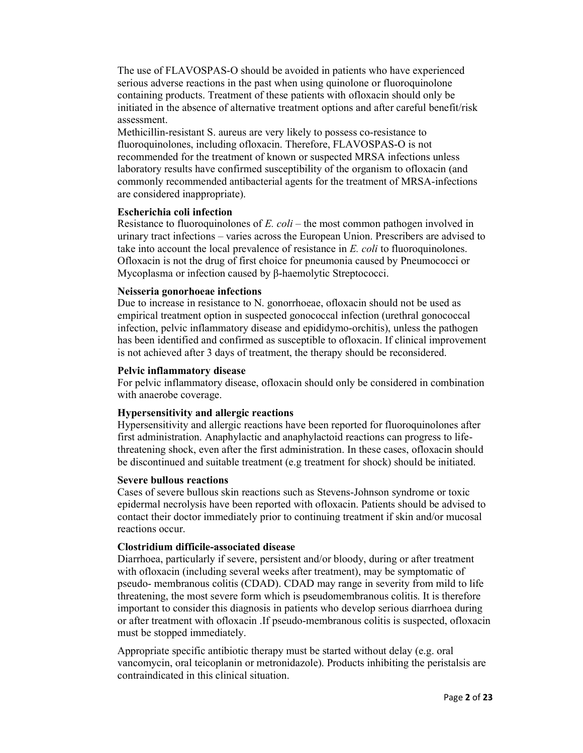The use of FLAVOSPAS-O should be avoided in patients who have experienced serious adverse reactions in the past when using quinolone or fluoroquinolone containing products. Treatment of these patients with ofloxacin should only be initiated in the absence of alternative treatment options and after careful benefit/risk assessment.

Methicillin-resistant S. aureus are very likely to possess co-resistance to fluoroquinolones, including ofloxacin. Therefore, FLAVOSPAS-O is not recommended for the treatment of known or suspected MRSA infections unless laboratory results have confirmed susceptibility of the organism to ofloxacin (and commonly recommended antibacterial agents for the treatment of MRSA-infections are considered inappropriate).

# Escherichia coli infection

Resistance to fluoroquinolones of E. coli – the most common pathogen involved in urinary tract infections – varies across the European Union. Prescribers are advised to take into account the local prevalence of resistance in E. coli to fluoroquinolones. Ofloxacin is not the drug of first choice for pneumonia caused by Pneumococci or Mycoplasma or infection caused by β-haemolytic Streptococci.

# Neisseria gonorhoeae infections

Due to increase in resistance to N. gonorrhoeae, ofloxacin should not be used as empirical treatment option in suspected gonococcal infection (urethral gonococcal infection, pelvic inflammatory disease and epididymo-orchitis), unless the pathogen has been identified and confirmed as susceptible to ofloxacin. If clinical improvement is not achieved after 3 days of treatment, the therapy should be reconsidered.

# Pelvic inflammatory disease

For pelvic inflammatory disease, ofloxacin should only be considered in combination with anaerobe coverage.

# Hypersensitivity and allergic reactions

Hypersensitivity and allergic reactions have been reported for fluoroquinolones after first administration. Anaphylactic and anaphylactoid reactions can progress to lifethreatening shock, even after the first administration. In these cases, ofloxacin should be discontinued and suitable treatment (e.g treatment for shock) should be initiated.

# Severe bullous reactions

Cases of severe bullous skin reactions such as Stevens-Johnson syndrome or toxic epidermal necrolysis have been reported with ofloxacin. Patients should be advised to contact their doctor immediately prior to continuing treatment if skin and/or mucosal reactions occur.

# Clostridium difficile-associated disease

Diarrhoea, particularly if severe, persistent and/or bloody, during or after treatment with ofloxacin (including several weeks after treatment), may be symptomatic of pseudo- membranous colitis (CDAD). CDAD may range in severity from mild to life threatening, the most severe form which is pseudomembranous colitis. It is therefore important to consider this diagnosis in patients who develop serious diarrhoea during or after treatment with ofloxacin .If pseudo-membranous colitis is suspected, ofloxacin must be stopped immediately.

Appropriate specific antibiotic therapy must be started without delay (e.g. oral vancomycin, oral teicoplanin or metronidazole). Products inhibiting the peristalsis are contraindicated in this clinical situation.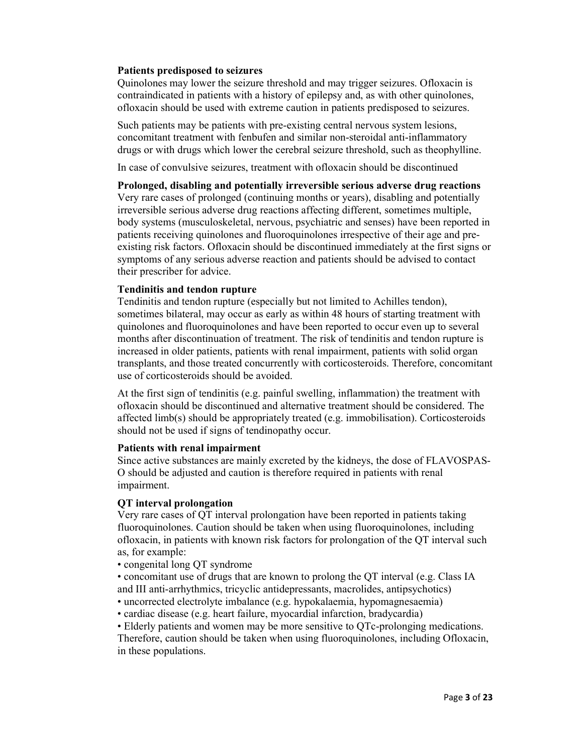### Patients predisposed to seizures

Quinolones may lower the seizure threshold and may trigger seizures. Ofloxacin is contraindicated in patients with a history of epilepsy and, as with other quinolones, ofloxacin should be used with extreme caution in patients predisposed to seizures.

Such patients may be patients with pre-existing central nervous system lesions, concomitant treatment with fenbufen and similar non-steroidal anti-inflammatory drugs or with drugs which lower the cerebral seizure threshold, such as theophylline.

In case of convulsive seizures, treatment with ofloxacin should be discontinued

Prolonged, disabling and potentially irreversible serious adverse drug reactions Very rare cases of prolonged (continuing months or years), disabling and potentially irreversible serious adverse drug reactions affecting different, sometimes multiple, body systems (musculoskeletal, nervous, psychiatric and senses) have been reported in patients receiving quinolones and fluoroquinolones irrespective of their age and preexisting risk factors. Ofloxacin should be discontinued immediately at the first signs or symptoms of any serious adverse reaction and patients should be advised to contact their prescriber for advice.

# Tendinitis and tendon rupture

Tendinitis and tendon rupture (especially but not limited to Achilles tendon), sometimes bilateral, may occur as early as within 48 hours of starting treatment with quinolones and fluoroquinolones and have been reported to occur even up to several months after discontinuation of treatment. The risk of tendinitis and tendon rupture is increased in older patients, patients with renal impairment, patients with solid organ transplants, and those treated concurrently with corticosteroids. Therefore, concomitant use of corticosteroids should be avoided.

At the first sign of tendinitis (e.g. painful swelling, inflammation) the treatment with ofloxacin should be discontinued and alternative treatment should be considered. The affected limb(s) should be appropriately treated (e.g. immobilisation). Corticosteroids should not be used if signs of tendinopathy occur.

# Patients with renal impairment

Since active substances are mainly excreted by the kidneys, the dose of FLAVOSPAS-O should be adjusted and caution is therefore required in patients with renal impairment.

# QT interval prolongation

Very rare cases of QT interval prolongation have been reported in patients taking fluoroquinolones. Caution should be taken when using fluoroquinolones, including ofloxacin, in patients with known risk factors for prolongation of the QT interval such as, for example:

• congenital long QT syndrome

• concomitant use of drugs that are known to prolong the QT interval (e.g. Class IA and III anti-arrhythmics, tricyclic antidepressants, macrolides, antipsychotics)

- uncorrected electrolyte imbalance (e.g. hypokalaemia, hypomagnesaemia)
- cardiac disease (e.g. heart failure, myocardial infarction, bradycardia)

• Elderly patients and women may be more sensitive to QTc-prolonging medications. Therefore, caution should be taken when using fluoroquinolones, including Ofloxacin, in these populations.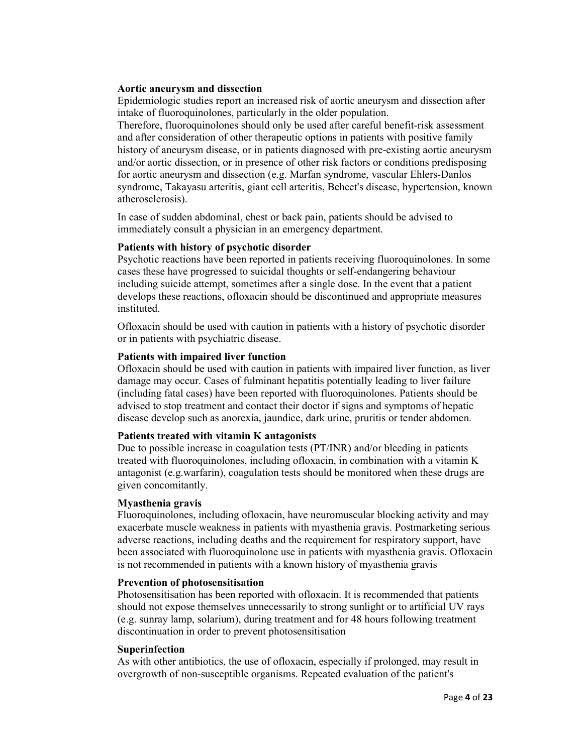### Aortic aneurysm and dissection

Epidemiologic studies report an increased risk of aortic aneurysm and dissection after intake of fluoroquinolones, particularly in the older population.

Therefore, fluoroquinolones should only be used after careful benefit-risk assessment and after consideration of other therapeutic options in patients with positive family history of aneurysm disease, or in patients diagnosed with pre-existing aortic aneurysm and/or aortic dissection, or in presence of other risk factors or conditions predisposing for aortic aneurysm and dissection (e.g. Marfan syndrome, vascular Ehlers-Danlos syndrome, Takayasu arteritis, giant cell arteritis, Behcet's disease, hypertension, known atherosclerosis).

In case of sudden abdominal, chest or back pain, patients should be advised to immediately consult a physician in an emergency department.

#### Patients with history of psychotic disorder

Psychotic reactions have been reported in patients receiving fluoroquinolones. In some cases these have progressed to suicidal thoughts or self-endangering behaviour including suicide attempt, sometimes after a single dose. In the event that a patient develops these reactions, ofloxacin should be discontinued and appropriate measures instituted.

Ofloxacin should be used with caution in patients with a history of psychotic disorder or in patients with psychiatric disease.

### Patients with impaired liver function

Ofloxacin should be used with caution in patients with impaired liver function, as liver damage may occur. Cases of fulminant hepatitis potentially leading to liver failure (including fatal cases) have been reported with fluoroquinolones. Patients should be advised to stop treatment and contact their doctor if signs and symptoms of hepatic disease develop such as anorexia, jaundice, dark urine, pruritis or tender abdomen.

#### Patients treated with vitamin K antagonists

Due to possible increase in coagulation tests (PT/INR) and/or bleeding in patients treated with fluoroquinolones, including ofloxacin, in combination with a vitamin K antagonist (e.g.warfarin), coagulation tests should be monitored when these drugs are given concomitantly.

#### Myasthenia gravis

Fluoroquinolones, including ofloxacin, have neuromuscular blocking activity and may exacerbate muscle weakness in patients with myasthenia gravis. Postmarketing serious adverse reactions, including deaths and the requirement for respiratory support, have been associated with fluoroquinolone use in patients with myasthenia gravis. Ofloxacin is not recommended in patients with a known history of myasthenia gravis

#### Prevention of photosensitisation

Photosensitisation has been reported with ofloxacin. It is recommended that patients should not expose themselves unnecessarily to strong sunlight or to artificial UV rays (e.g. sunray lamp, solarium), during treatment and for 48 hours following treatment discontinuation in order to prevent photosensitisation

#### Superinfection

As with other antibiotics, the use of ofloxacin, especially if prolonged, may result in overgrowth of non-susceptible organisms. Repeated evaluation of the patient's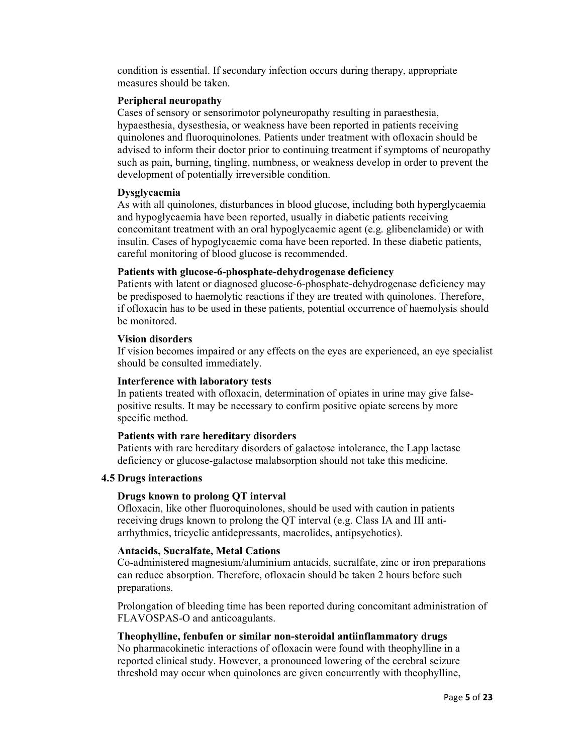condition is essential. If secondary infection occurs during therapy, appropriate measures should be taken.

### Peripheral neuropathy

Cases of sensory or sensorimotor polyneuropathy resulting in paraesthesia, hypaesthesia, dysesthesia, or weakness have been reported in patients receiving quinolones and fluoroquinolones. Patients under treatment with ofloxacin should be advised to inform their doctor prior to continuing treatment if symptoms of neuropathy such as pain, burning, tingling, numbness, or weakness develop in order to prevent the development of potentially irreversible condition.

# Dysglycaemia

As with all quinolones, disturbances in blood glucose, including both hyperglycaemia and hypoglycaemia have been reported, usually in diabetic patients receiving concomitant treatment with an oral hypoglycaemic agent (e.g. glibenclamide) or with insulin. Cases of hypoglycaemic coma have been reported. In these diabetic patients, careful monitoring of blood glucose is recommended.

# Patients with glucose-6-phosphate-dehydrogenase deficiency

Patients with latent or diagnosed glucose-6-phosphate-dehydrogenase deficiency may be predisposed to haemolytic reactions if they are treated with quinolones. Therefore, if ofloxacin has to be used in these patients, potential occurrence of haemolysis should be monitored.

### Vision disorders

If vision becomes impaired or any effects on the eyes are experienced, an eye specialist should be consulted immediately.

# Interference with laboratory tests

In patients treated with ofloxacin, determination of opiates in urine may give falsepositive results. It may be necessary to confirm positive opiate screens by more specific method.

# Patients with rare hereditary disorders

Patients with rare hereditary disorders of galactose intolerance, the Lapp lactase deficiency or glucose-galactose malabsorption should not take this medicine.

# 4.5 Drugs interactions

# Drugs known to prolong QT interval

Ofloxacin, like other fluoroquinolones, should be used with caution in patients receiving drugs known to prolong the QT interval (e.g. Class IA and III antiarrhythmics, tricyclic antidepressants, macrolides, antipsychotics).

# Antacids, Sucralfate, Metal Cations

Co-administered magnesium/aluminium antacids, sucralfate, zinc or iron preparations can reduce absorption. Therefore, ofloxacin should be taken 2 hours before such preparations.

Prolongation of bleeding time has been reported during concomitant administration of FLAVOSPAS-O and anticoagulants.

# Theophylline, fenbufen or similar non-steroidal antiinflammatory drugs

No pharmacokinetic interactions of ofloxacin were found with theophylline in a reported clinical study. However, a pronounced lowering of the cerebral seizure threshold may occur when quinolones are given concurrently with theophylline,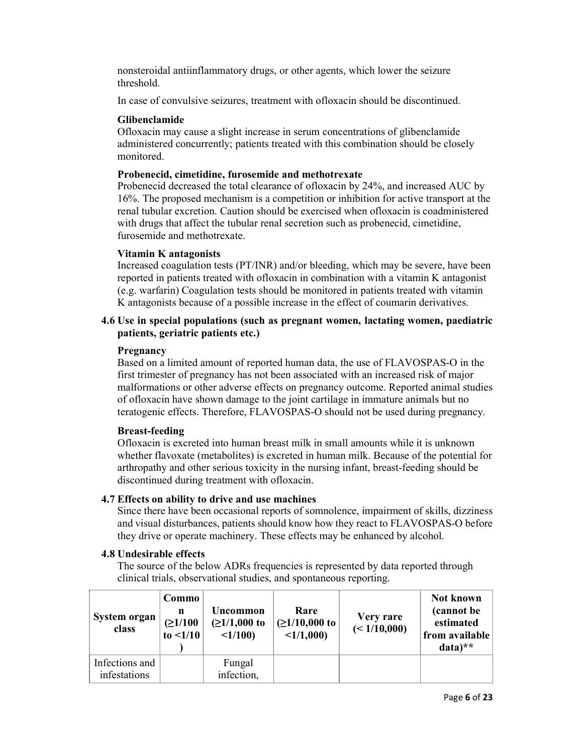nonsteroidal antiinflammatory drugs, or other agents, which lower the seizure threshold.

In case of convulsive seizures, treatment with ofloxacin should be discontinued.

# Glibenclamide

Ofloxacin may cause a slight increase in serum concentrations of glibenclamide administered concurrently; patients treated with this combination should be closely monitored.

# Probenecid, cimetidine, furosemide and methotrexate

Probenecid decreased the total clearance of ofloxacin by 24%, and increased AUC by 16%. The proposed mechanism is a competition or inhibition for active transport at the renal tubular excretion. Caution should be exercised when ofloxacin is coadministered with drugs that affect the tubular renal secretion such as probenecid, cimetidine, furosemide and methotrexate.

# Vitamin K antagonists

Increased coagulation tests (PT/INR) and/or bleeding, which may be severe, have been reported in patients treated with ofloxacin in combination with a vitamin K antagonist (e.g. warfarin) Coagulation tests should be monitored in patients treated with vitamin K antagonists because of a possible increase in the effect of coumarin derivatives.

# 4.6 Use in special populations (such as pregnant women, lactating women, paediatric patients, geriatric patients etc.)

# **Pregnancy**

Based on a limited amount of reported human data, the use of FLAVOSPAS-O in the first trimester of pregnancy has not been associated with an increased risk of major malformations or other adverse effects on pregnancy outcome. Reported animal studies of ofloxacin have shown damage to the joint cartilage in immature animals but no teratogenic effects. Therefore, FLAVOSPAS-O should not be used during pregnancy.

# Breast-feeding

Ofloxacin is excreted into human breast milk in small amounts while it is unknown whether flavoxate (metabolites) is excreted in human milk. Because of the potential for arthropathy and other serious toxicity in the nursing infant, breast-feeding should be discontinued during treatment with ofloxacin.

# 4.7 Effects on ability to drive and use machines

Since there have been occasional reports of somnolence, impairment of skills, dizziness and visual disturbances, patients should know how they react to FLAVOSPAS-O before they drive or operate machinery. These effects may be enhanced by alcohol.

# 4.8 Undesirable effects

The source of the below ADRs frequencies is represented by data reported through clinical trials, observational studies, and spontaneous reporting.

| System organ<br>class          | Commo<br>n<br>(≥1/100<br>to $\leq 1/10$ | Uncommon<br>$(21/1,000)$ to<br><1/100 | Rare<br>$(21/10,000)$ to<br><1/1,000 | Very rare<br>(< 1/10,000) | Not known<br>(cannot be)<br>estimated<br>from available<br>$data)**$ |
|--------------------------------|-----------------------------------------|---------------------------------------|--------------------------------------|---------------------------|----------------------------------------------------------------------|
| Infections and<br>infestations |                                         | Fungal<br>infection,                  |                                      |                           |                                                                      |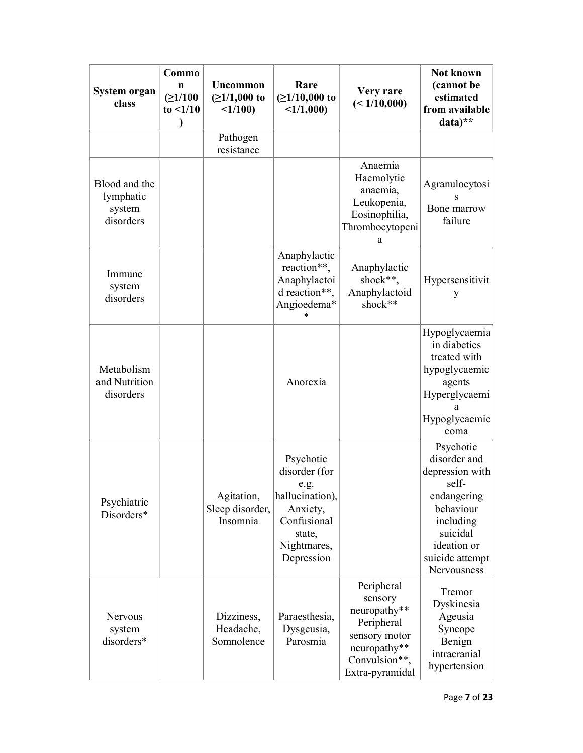| System organ<br>class                             | Commo<br>n<br>(≥1/100<br>to $\leq 1/10$<br>Ι | Uncommon<br>$(≥1/1,000$ to<br><1/100      | Rare<br>$(21/10,000)$ to<br><1/1,000                                                                                    | Very rare<br>(< 1/10,000)                                                                                                | Not known<br>(cannot be<br>estimated<br>from available<br>data)**                                                                                           |
|---------------------------------------------------|----------------------------------------------|-------------------------------------------|-------------------------------------------------------------------------------------------------------------------------|--------------------------------------------------------------------------------------------------------------------------|-------------------------------------------------------------------------------------------------------------------------------------------------------------|
|                                                   |                                              | Pathogen<br>resistance                    |                                                                                                                         |                                                                                                                          |                                                                                                                                                             |
| Blood and the<br>lymphatic<br>system<br>disorders |                                              |                                           |                                                                                                                         | Anaemia<br>Haemolytic<br>anaemia,<br>Leukopenia,<br>Eosinophilia,<br>Thrombocytopeni<br>a                                | Agranulocytosi<br>Bone marrow<br>failure                                                                                                                    |
| Immune<br>system<br>disorders                     |                                              |                                           | Anaphylactic<br>reaction**,<br>Anaphylactoi<br>d reaction**,<br>Angioedema*<br>ж                                        | Anaphylactic<br>shock**,<br>Anaphylactoid<br>shock**                                                                     | Hypersensitivit<br>y                                                                                                                                        |
| Metabolism<br>and Nutrition<br>disorders          |                                              |                                           | Anorexia                                                                                                                |                                                                                                                          | Hypoglycaemia<br>in diabetics<br>treated with<br>hypoglycaemic<br>agents<br>Hyperglycaemi<br>a<br>Hypoglycaemic<br>coma                                     |
| Psychiatric<br>Disorders*                         |                                              | Agitation,<br>Sleep disorder,<br>Insomnia | Psychotic<br>disorder (for<br>e.g.<br>hallucination),<br>Anxiety,<br>Confusional<br>state,<br>Nightmares,<br>Depression |                                                                                                                          | Psychotic<br>disorder and<br>depression with<br>self-<br>endangering<br>behaviour<br>including<br>suicidal<br>ideation or<br>suicide attempt<br>Nervousness |
| Nervous<br>system<br>disorders*                   |                                              | Dizziness,<br>Headache,<br>Somnolence     | Paraesthesia,<br>Dysgeusia,<br>Parosmia                                                                                 | Peripheral<br>sensory<br>neuropathy**<br>Peripheral<br>sensory motor<br>neuropathy**<br>Convulsion**,<br>Extra-pyramidal | Tremor<br>Dyskinesia<br>Ageusia<br>Syncope<br>Benign<br>intracranial<br>hypertension                                                                        |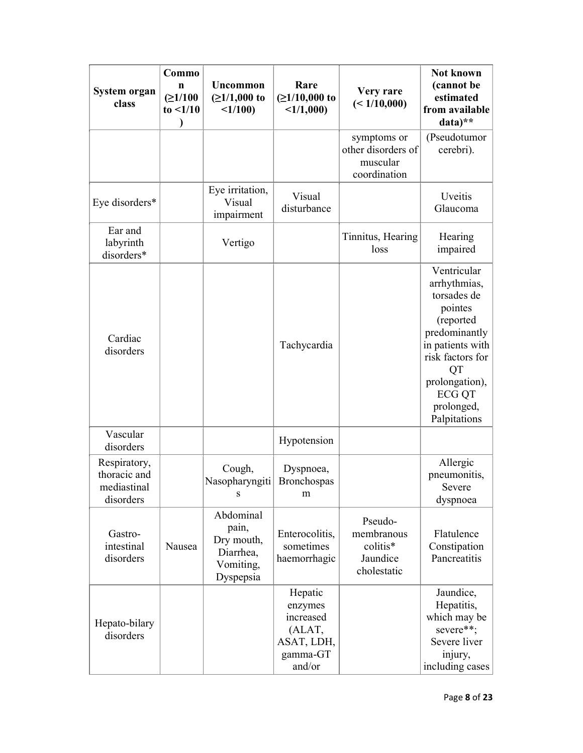| System organ<br>class                                    | Commo<br>n<br>(21/100)<br>to $\leq 1/10$ | Uncommon<br>$(≥1/1,000$ to<br><1/100                                    | Rare<br>$(21/10,000)$ to<br><1/1,000                                          | Very rare<br>(<1/10,000)                                      | Not known<br>(cannot be<br>estimated<br>from available<br>data)**                                                                                                                  |
|----------------------------------------------------------|------------------------------------------|-------------------------------------------------------------------------|-------------------------------------------------------------------------------|---------------------------------------------------------------|------------------------------------------------------------------------------------------------------------------------------------------------------------------------------------|
|                                                          |                                          |                                                                         |                                                                               | symptoms or<br>other disorders of<br>muscular<br>coordination | (Pseudotumor<br>cerebri).                                                                                                                                                          |
| Eye disorders*                                           |                                          | Eye irritation,<br>Visual<br>impairment                                 | Visual<br>disturbance                                                         |                                                               | Uveitis<br>Glaucoma                                                                                                                                                                |
| Ear and<br>labyrinth<br>disorders*                       |                                          | Vertigo                                                                 |                                                                               | Tinnitus, Hearing<br>loss                                     | Hearing<br>impaired                                                                                                                                                                |
| Cardiac<br>disorders                                     |                                          |                                                                         | Tachycardia                                                                   |                                                               | Ventricular<br>arrhythmias,<br>torsades de<br>pointes<br>(reported<br>predominantly<br>in patients with<br>risk factors for<br>QT<br>prolongation),<br><b>ECG QT</b><br>prolonged, |
| Vascular<br>disorders                                    |                                          |                                                                         | Hypotension                                                                   |                                                               | Palpitations                                                                                                                                                                       |
| Respiratory,<br>thoracic and<br>mediastinal<br>disorders |                                          | Cough,<br>Nasopharyngiti<br>S                                           | Dyspnoea,<br><b>Bronchospas</b><br>m                                          |                                                               | Allergic<br>pneumonitis,<br>Severe<br>dyspnoea                                                                                                                                     |
| Gastro-<br>intestinal<br>disorders                       | Nausea                                   | Abdominal<br>pain,<br>Dry mouth,<br>Diarrhea,<br>Vomiting,<br>Dyspepsia | Enterocolitis,<br>sometimes<br>haemorrhagic                                   | Pseudo-<br>membranous<br>colitis*<br>Jaundice<br>cholestatic  | Flatulence<br>Constipation<br>Pancreatitis                                                                                                                                         |
| Hepato-bilary<br>disorders                               |                                          |                                                                         | Hepatic<br>enzymes<br>increased<br>(ALAT,<br>ASAT, LDH,<br>gamma-GT<br>and/or |                                                               | Jaundice,<br>Hepatitis,<br>which may be<br>severe**;<br>Severe liver<br>injury,<br>including cases                                                                                 |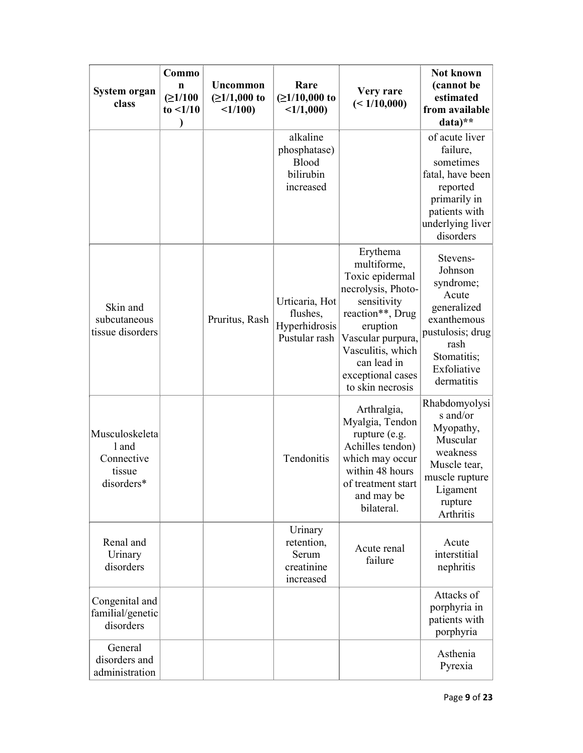| System organ<br>class                                         | Commo<br>$\mathbf n$<br>(21/100<br>to $\leq 1/10$<br>Ι | Uncommon<br>$(21/1,000)$ to<br><1/100 | Rare<br>$(≥1/10,000$ to<br><1/1,000                          | <b>Very rare</b><br>(<1/10,000)                                                                                                                                                                                   | Not known<br>(cannot be<br>estimated<br>from available<br>data)**                                                                               |
|---------------------------------------------------------------|--------------------------------------------------------|---------------------------------------|--------------------------------------------------------------|-------------------------------------------------------------------------------------------------------------------------------------------------------------------------------------------------------------------|-------------------------------------------------------------------------------------------------------------------------------------------------|
|                                                               |                                                        |                                       | alkaline<br>phosphatase)<br>Blood<br>bilirubin<br>increased  |                                                                                                                                                                                                                   | of acute liver<br>failure,<br>sometimes<br>fatal, have been<br>reported<br>primarily in<br>patients with<br>underlying liver<br>disorders       |
| Skin and<br>subcutaneous<br>tissue disorders                  |                                                        | Pruritus, Rash                        | Urticaria, Hot<br>flushes,<br>Hyperhidrosis<br>Pustular rash | Erythema<br>multiforme,<br>Toxic epidermal<br>necrolysis, Photo-<br>sensitivity<br>reaction**, Drug<br>eruption<br>Vascular purpura,<br>Vasculitis, which<br>can lead in<br>exceptional cases<br>to skin necrosis | Stevens-<br>Johnson<br>syndrome;<br>Acute<br>generalized<br>exanthemous<br>pustulosis; drug<br>rash<br>Stomatitis;<br>Exfoliative<br>dermatitis |
| Musculoskeleta<br>l and<br>Connective<br>tissue<br>disorders* |                                                        |                                       | Tendonitis                                                   | Arthralgia,<br>Myalgia, Tendon<br>rupture (e.g.<br>Achilles tendon)<br>which may occur<br>within 48 hours<br>of treatment start<br>and may be<br>bilateral.                                                       | Rhabdomyolysi<br>s and/or<br>Myopathy,<br>Muscular<br>weakness<br>Muscle tear,<br>muscle rupture<br>Ligament<br>rupture<br>Arthritis            |
| Renal and<br>Urinary<br>disorders                             |                                                        |                                       | Urinary<br>retention,<br>Serum<br>creatinine<br>increased    | Acute renal<br>failure                                                                                                                                                                                            | Acute<br>interstitial<br>nephritis                                                                                                              |
| Congenital and<br>familial/genetic<br>disorders               |                                                        |                                       |                                                              |                                                                                                                                                                                                                   | Attacks of<br>porphyria in<br>patients with<br>porphyria                                                                                        |
| General<br>disorders and<br>administration                    |                                                        |                                       |                                                              |                                                                                                                                                                                                                   | Asthenia<br>Pyrexia                                                                                                                             |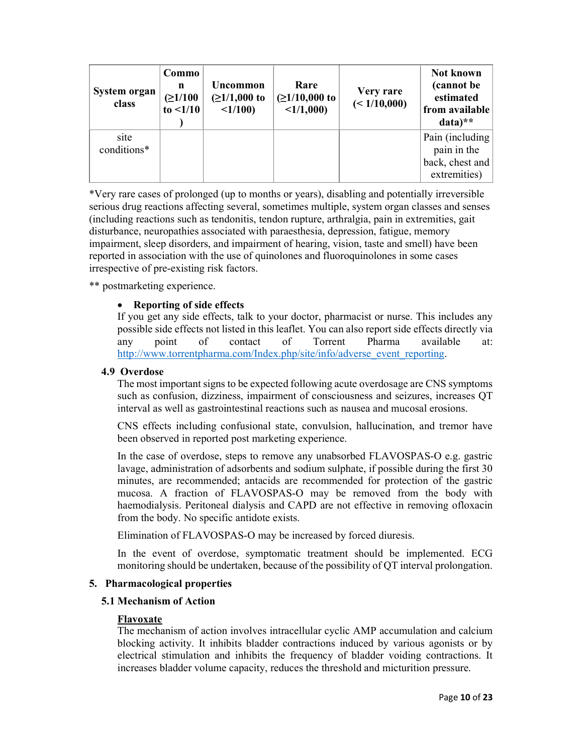| System organ<br>class | Commo<br>n<br>(≥1/100<br>to $\leq 1/10$ | Uncommon<br>$(21/1,000)$ to<br><1/100 | Rare<br>$(21/10,000)$ to<br><1/1,000 | Very rare<br>(< 1/10,000) | Not known<br>(cannot be)<br>estimated<br>from available<br>$data)**$ |
|-----------------------|-----------------------------------------|---------------------------------------|--------------------------------------|---------------------------|----------------------------------------------------------------------|
| site<br>conditions*   |                                         |                                       |                                      |                           | Pain (including)<br>pain in the<br>back, chest and<br>extremities)   |

\*Very rare cases of prolonged (up to months or years), disabling and potentially irreversible serious drug reactions affecting several, sometimes multiple, system organ classes and senses (including reactions such as tendonitis, tendon rupture, arthralgia, pain in extremities, gait disturbance, neuropathies associated with paraesthesia, depression, fatigue, memory impairment, sleep disorders, and impairment of hearing, vision, taste and smell) have been reported in association with the use of quinolones and fluoroquinolones in some cases irrespective of pre-existing risk factors.

\*\* postmarketing experience.

# Reporting of side effects

If you get any side effects, talk to your doctor, pharmacist or nurse. This includes any possible side effects not listed in this leaflet. You can also report side effects directly via any point of contact of Torrent Pharma available at: http://www.torrentpharma.com/Index.php/site/info/adverse\_event\_reporting.

#### 4.9 Overdose

The most important signs to be expected following acute overdosage are CNS symptoms such as confusion, dizziness, impairment of consciousness and seizures, increases QT interval as well as gastrointestinal reactions such as nausea and mucosal erosions.

CNS effects including confusional state, convulsion, hallucination, and tremor have been observed in reported post marketing experience.

In the case of overdose, steps to remove any unabsorbed FLAVOSPAS-O e.g. gastric lavage, administration of adsorbents and sodium sulphate, if possible during the first 30 minutes, are recommended; antacids are recommended for protection of the gastric mucosa. A fraction of FLAVOSPAS-O may be removed from the body with haemodialysis. Peritoneal dialysis and CAPD are not effective in removing ofloxacin from the body. No specific antidote exists.

Elimination of FLAVOSPAS-O may be increased by forced diuresis.

In the event of overdose, symptomatic treatment should be implemented. ECG monitoring should be undertaken, because of the possibility of QT interval prolongation.

#### 5. Pharmacological properties

# 5.1 Mechanism of Action

#### Flavoxate

The mechanism of action involves intracellular cyclic AMP accumulation and calcium blocking activity. It inhibits bladder contractions induced by various agonists or by electrical stimulation and inhibits the frequency of bladder voiding contractions. It increases bladder volume capacity, reduces the threshold and micturition pressure.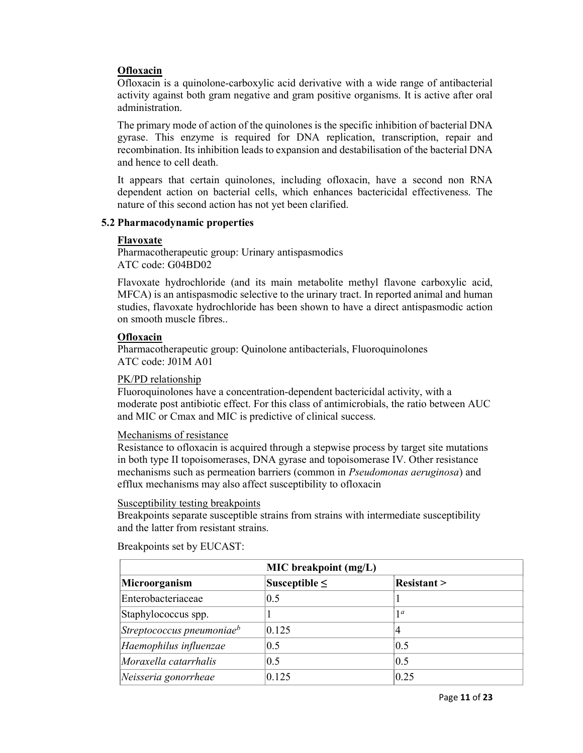# **Ofloxacin**

Ofloxacin is a quinolone-carboxylic acid derivative with a wide range of antibacterial activity against both gram negative and gram positive organisms. It is active after oral administration.

The primary mode of action of the quinolones is the specific inhibition of bacterial DNA gyrase. This enzyme is required for DNA replication, transcription, repair and recombination. Its inhibition leads to expansion and destabilisation of the bacterial DNA and hence to cell death.

It appears that certain quinolones, including ofloxacin, have a second non RNA dependent action on bacterial cells, which enhances bactericidal effectiveness. The nature of this second action has not yet been clarified.

# 5.2 Pharmacodynamic properties

# Flavoxate

Pharmacotherapeutic group: Urinary antispasmodics ATC code: G04BD02

Flavoxate hydrochloride (and its main metabolite methyl flavone carboxylic acid, MFCA) is an antispasmodic selective to the urinary tract. In reported animal and human studies, flavoxate hydrochloride has been shown to have a direct antispasmodic action on smooth muscle fibres..

# **Ofloxacin**

Pharmacotherapeutic group: Quinolone antibacterials, Fluoroquinolones ATC code: J01M A01

PK/PD relationship

Fluoroquinolones have a concentration-dependent bactericidal activity, with a moderate post antibiotic effect. For this class of antimicrobials, the ratio between AUC and MIC or Cmax and MIC is predictive of clinical success.

# Mechanisms of resistance

Resistance to ofloxacin is acquired through a stepwise process by target site mutations in both type II topoisomerases, DNA gyrase and topoisomerase IV. Other resistance mechanisms such as permeation barriers (common in Pseudomonas aeruginosa) and efflux mechanisms may also affect susceptibility to ofloxacin

# Susceptibility testing breakpoints

Breakpoints separate susceptible strains from strains with intermediate susceptibility and the latter from resistant strains.

| <b>MIC</b> breakpoint (mg/L)  |                    |                    |  |  |  |
|-------------------------------|--------------------|--------------------|--|--|--|
| Microorganism                 | Susceptible $\leq$ | <b>Resistant</b> > |  |  |  |
| Enterobacteriaceae            | 0.5                |                    |  |  |  |
| Staphylococcus spp.           |                    | 1 <sup>a</sup>     |  |  |  |
| Streptococcus pneumoniae $^b$ | 0.125              |                    |  |  |  |
| Haemophilus influenzae        | 0.5                | 0.5                |  |  |  |
| Moraxella catarrhalis         | 0.5                | 0.5                |  |  |  |
| Neisseria gonorrheae          | 0.125              | 0.25               |  |  |  |

Breakpoints set by EUCAST: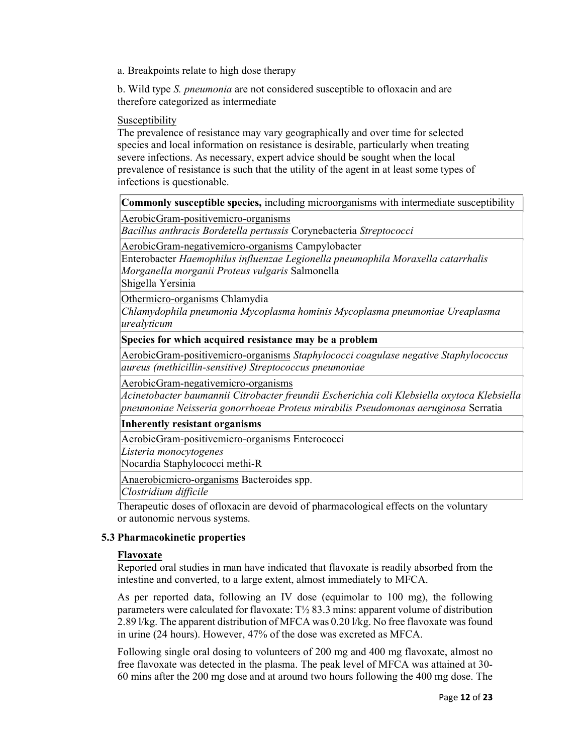a. Breakpoints relate to high dose therapy

b. Wild type S. pneumonia are not considered susceptible to ofloxacin and are therefore categorized as intermediate

#### Susceptibility

The prevalence of resistance may vary geographically and over time for selected species and local information on resistance is desirable, particularly when treating severe infections. As necessary, expert advice should be sought when the local prevalence of resistance is such that the utility of the agent in at least some types of infections is questionable.

Commonly susceptible species, including microorganisms with intermediate susceptibility

AerobicGram-positivemicro-organisms

Bacillus anthracis Bordetella pertussis Corynebacteria Streptococci

AerobicGram-negativemicro-organisms Campylobacter

Enterobacter Haemophilus influenzae Legionella pneumophila Moraxella catarrhalis Morganella morganii Proteus vulgaris Salmonella Shigella Yersinia

Othermicro-organisms Chlamydia

Chlamydophila pneumonia Mycoplasma hominis Mycoplasma pneumoniae Ureaplasma urealyticum

# Species for which acquired resistance may be a problem

AerobicGram-positivemicro-organisms Staphylococci coagulase negative Staphylococcus aureus (methicillin-sensitive) Streptococcus pneumoniae

AerobicGram-negativemicro-organisms

Acinetobacter baumannii Citrobacter freundii Escherichia coli Klebsiella oxytoca Klebsiella pneumoniae Neisseria gonorrhoeae Proteus mirabilis Pseudomonas aeruginosa Serratia

Inherently resistant organisms

AerobicGram-positivemicro-organisms Enterococci

Listeria monocytogenes

Nocardia Staphylococci methi-R

Anaerobicmicro-organisms Bacteroides spp.

Clostridium difficile

Therapeutic doses of ofloxacin are devoid of pharmacological effects on the voluntary or autonomic nervous systems.

# 5.3 Pharmacokinetic properties

#### Flavoxate

Reported oral studies in man have indicated that flavoxate is readily absorbed from the intestine and converted, to a large extent, almost immediately to MFCA.

As per reported data, following an IV dose (equimolar to 100 mg), the following parameters were calculated for flavoxate: T½ 83.3 mins: apparent volume of distribution 2.89 l/kg. The apparent distribution of MFCA was 0.20 l/kg. No free flavoxate was found in urine (24 hours). However, 47% of the dose was excreted as MFCA.

Following single oral dosing to volunteers of 200 mg and 400 mg flavoxate, almost no free flavoxate was detected in the plasma. The peak level of MFCA was attained at 30- 60 mins after the 200 mg dose and at around two hours following the 400 mg dose. The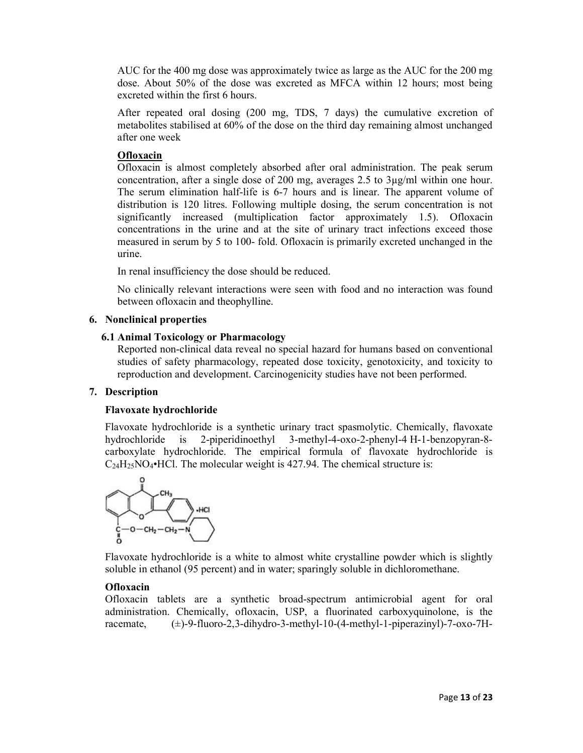AUC for the 400 mg dose was approximately twice as large as the AUC for the 200 mg dose. About 50% of the dose was excreted as MFCA within 12 hours; most being excreted within the first 6 hours.

After repeated oral dosing (200 mg, TDS, 7 days) the cumulative excretion of metabolites stabilised at 60% of the dose on the third day remaining almost unchanged after one week

# **Ofloxacin**

Ofloxacin is almost completely absorbed after oral administration. The peak serum concentration, after a single dose of 200 mg, averages 2.5 to 3µg/ml within one hour. The serum elimination half-life is 6-7 hours and is linear. The apparent volume of distribution is 120 litres. Following multiple dosing, the serum concentration is not significantly increased (multiplication factor approximately 1.5). Ofloxacin concentrations in the urine and at the site of urinary tract infections exceed those measured in serum by 5 to 100- fold. Ofloxacin is primarily excreted unchanged in the urine.

In renal insufficiency the dose should be reduced.

No clinically relevant interactions were seen with food and no interaction was found between ofloxacin and theophylline.

# 6. Nonclinical properties

# 6.1 Animal Toxicology or Pharmacology

Reported non-clinical data reveal no special hazard for humans based on conventional studies of safety pharmacology, repeated dose toxicity, genotoxicity, and toxicity to reproduction and development. Carcinogenicity studies have not been performed.

# 7. Description

# Flavoxate hydrochloride

Flavoxate hydrochloride is a synthetic urinary tract spasmolytic. Chemically, flavoxate hydrochloride is 2-piperidinoethyl 3-methyl-4-oxo-2-phenyl-4 H-1-benzopyran-8 carboxylate hydrochloride. The empirical formula of flavoxate hydrochloride is  $C_{24}H_{25}NO_4 \cdot HCl$ . The molecular weight is 427.94. The chemical structure is:



Flavoxate hydrochloride is a white to almost white crystalline powder which is slightly soluble in ethanol (95 percent) and in water; sparingly soluble in dichloromethane.

# **Ofloxacin**

Ofloxacin tablets are a synthetic broad-spectrum antimicrobial agent for oral administration. Chemically, ofloxacin, USP, a fluorinated carboxyquinolone, is the racemate, (±)-9-fluoro-2,3-dihydro-3-methyl-10-(4-methyl-1-piperazinyl)-7-oxo-7H-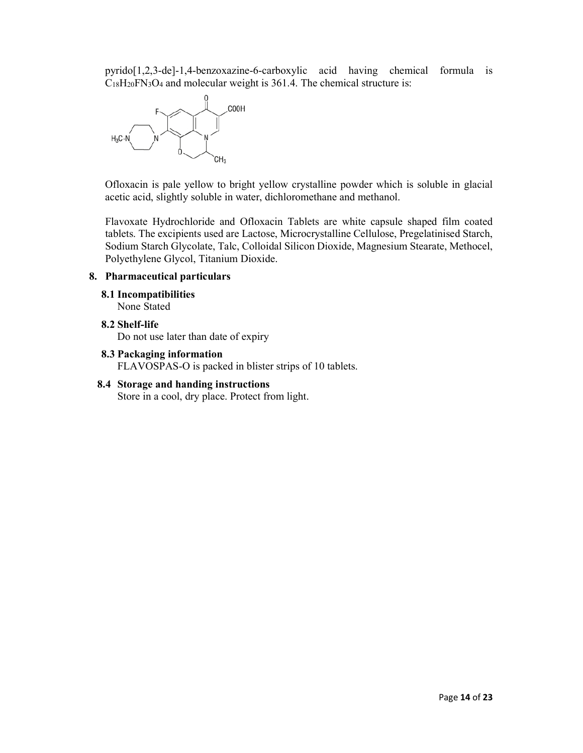pyrido[1,2,3-de]-1,4-benzoxazine-6-carboxylic acid having chemical formula is  $C_{18}H_{20}FN_{3}O_{4}$  and molecular weight is 361.4. The chemical structure is:



Ofloxacin is pale yellow to bright yellow crystalline powder which is soluble in glacial acetic acid, slightly soluble in water, dichloromethane and methanol.

Flavoxate Hydrochloride and Ofloxacin Tablets are white capsule shaped film coated tablets. The excipients used are Lactose, Microcrystalline Cellulose, Pregelatinised Starch, Sodium Starch Glycolate, Talc, Colloidal Silicon Dioxide, Magnesium Stearate, Methocel, Polyethylene Glycol, Titanium Dioxide.

# 8. Pharmaceutical particulars

8.1 Incompatibilities

None Stated

# 8.2 Shelf-life

Do not use later than date of expiry

- 8.3 Packaging information FLAVOSPAS-O is packed in blister strips of 10 tablets.
- 8.4 Storage and handing instructions Store in a cool, dry place. Protect from light.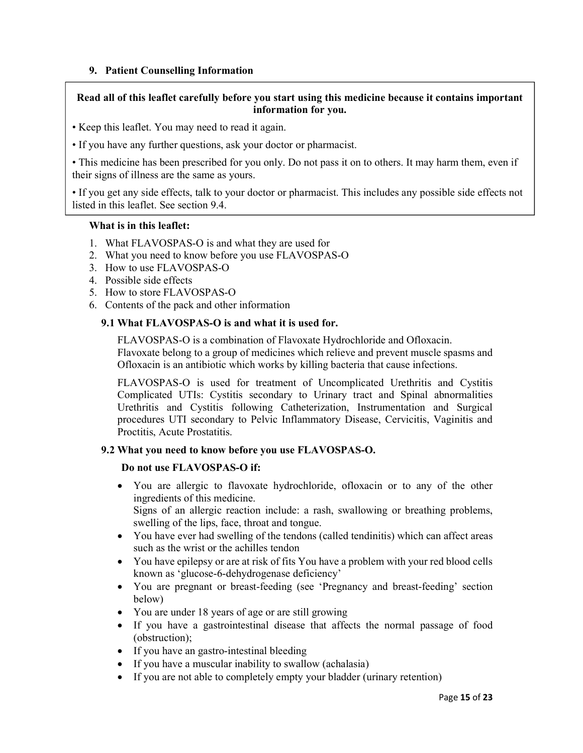# 9. Patient Counselling Information

# Read all of this leaflet carefully before you start using this medicine because it contains important information for you.

- Keep this leaflet. You may need to read it again.
- If you have any further questions, ask your doctor or pharmacist.

• This medicine has been prescribed for you only. Do not pass it on to others. It may harm them, even if their signs of illness are the same as yours.

• If you get any side effects, talk to your doctor or pharmacist. This includes any possible side effects not listed in this leaflet. See section 9.4.

# What is in this leaflet:

- 1. What FLAVOSPAS-O is and what they are used for
- 2. What you need to know before you use FLAVOSPAS-O
- 3. How to use FLAVOSPAS-O
- 4. Possible side effects
- 5. How to store FLAVOSPAS-O
- 6. Contents of the pack and other information

# 9.1 What FLAVOSPAS-O is and what it is used for.

FLAVOSPAS-O is a combination of Flavoxate Hydrochloride and Ofloxacin. Flavoxate belong to a group of medicines which relieve and prevent muscle spasms and Ofloxacin is an antibiotic which works by killing bacteria that cause infections.

FLAVOSPAS-O is used for treatment of Uncomplicated Urethritis and Cystitis Complicated UTIs: Cystitis secondary to Urinary tract and Spinal abnormalities Urethritis and Cystitis following Catheterization, Instrumentation and Surgical procedures UTI secondary to Pelvic Inflammatory Disease, Cervicitis, Vaginitis and Proctitis, Acute Prostatitis.

# 9.2 What you need to know before you use FLAVOSPAS-O.

# Do not use FLAVOSPAS-O if:

 You are allergic to flavoxate hydrochloride, ofloxacin or to any of the other ingredients of this medicine.

Signs of an allergic reaction include: a rash, swallowing or breathing problems, swelling of the lips, face, throat and tongue.

- You have ever had swelling of the tendons (called tendinitis) which can affect areas such as the wrist or the achilles tendon
- You have epilepsy or are at risk of fits You have a problem with your red blood cells known as 'glucose-6-dehydrogenase deficiency'
- You are pregnant or breast-feeding (see 'Pregnancy and breast-feeding' section below)
- You are under 18 years of age or are still growing
- If you have a gastrointestinal disease that affects the normal passage of food (obstruction);
- If you have an gastro-intestinal bleeding
- If you have a muscular inability to swallow (achalasia)
- If you are not able to completely empty your bladder (urinary retention)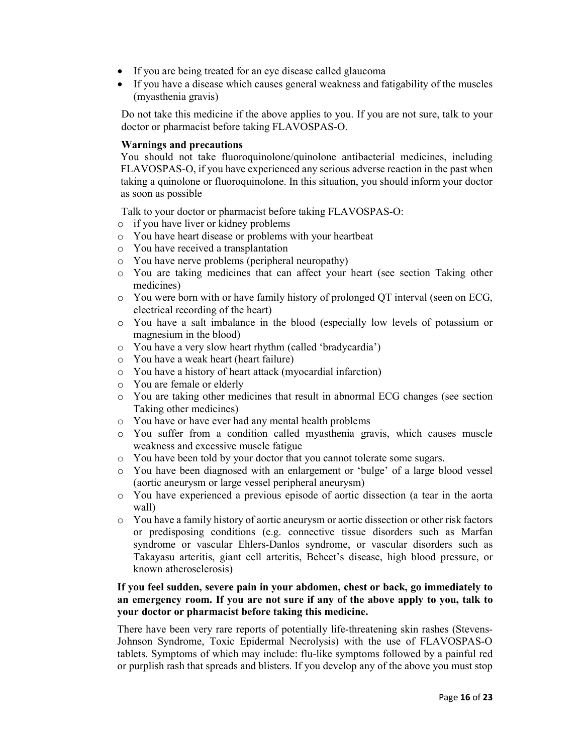- If you are being treated for an eye disease called glaucoma
- If you have a disease which causes general weakness and fatigability of the muscles (myasthenia gravis)

Do not take this medicine if the above applies to you. If you are not sure, talk to your doctor or pharmacist before taking FLAVOSPAS-O.

# Warnings and precautions

You should not take fluoroquinolone/quinolone antibacterial medicines, including FLAVOSPAS-O, if you have experienced any serious adverse reaction in the past when taking a quinolone or fluoroquinolone. In this situation, you should inform your doctor as soon as possible

Talk to your doctor or pharmacist before taking FLAVOSPAS-O:

- o if you have liver or kidney problems
- o You have heart disease or problems with your heartbeat
- o You have received a transplantation
- o You have nerve problems (peripheral neuropathy)
- o You are taking medicines that can affect your heart (see section Taking other medicines)
- o You were born with or have family history of prolonged QT interval (seen on ECG, electrical recording of the heart)
- o You have a salt imbalance in the blood (especially low levels of potassium or magnesium in the blood)
- o You have a very slow heart rhythm (called 'bradycardia')
- o You have a weak heart (heart failure)
- o You have a history of heart attack (myocardial infarction)
- o You are female or elderly
- o You are taking other medicines that result in abnormal ECG changes (see section Taking other medicines)
- o You have or have ever had any mental health problems
- o You suffer from a condition called myasthenia gravis, which causes muscle weakness and excessive muscle fatigue
- o You have been told by your doctor that you cannot tolerate some sugars.
- o You have been diagnosed with an enlargement or 'bulge' of a large blood vessel (aortic aneurysm or large vessel peripheral aneurysm)
- o You have experienced a previous episode of aortic dissection (a tear in the aorta wall)
- o You have a family history of aortic aneurysm or aortic dissection or other risk factors or predisposing conditions (e.g. connective tissue disorders such as Marfan syndrome or vascular Ehlers-Danlos syndrome, or vascular disorders such as Takayasu arteritis, giant cell arteritis, Behcet's disease, high blood pressure, or known atherosclerosis)

# If you feel sudden, severe pain in your abdomen, chest or back, go immediately to an emergency room. If you are not sure if any of the above apply to you, talk to your doctor or pharmacist before taking this medicine.

There have been very rare reports of potentially life-threatening skin rashes (Stevens-Johnson Syndrome, Toxic Epidermal Necrolysis) with the use of FLAVOSPAS-O tablets. Symptoms of which may include: flu-like symptoms followed by a painful red or purplish rash that spreads and blisters. If you develop any of the above you must stop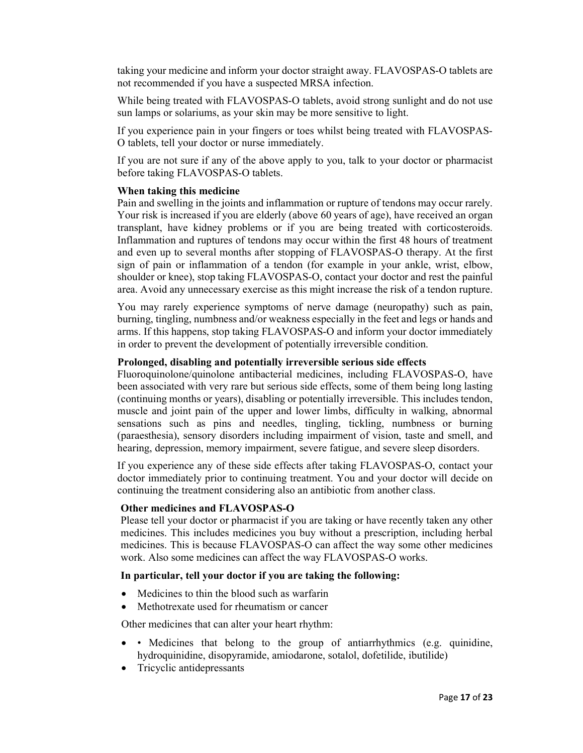taking your medicine and inform your doctor straight away. FLAVOSPAS-O tablets are not recommended if you have a suspected MRSA infection.

While being treated with FLAVOSPAS-O tablets, avoid strong sunlight and do not use sun lamps or solariums, as your skin may be more sensitive to light.

If you experience pain in your fingers or toes whilst being treated with FLAVOSPAS-O tablets, tell your doctor or nurse immediately.

If you are not sure if any of the above apply to you, talk to your doctor or pharmacist before taking FLAVOSPAS-O tablets.

### When taking this medicine

Pain and swelling in the joints and inflammation or rupture of tendons may occur rarely. Your risk is increased if you are elderly (above 60 years of age), have received an organ transplant, have kidney problems or if you are being treated with corticosteroids. Inflammation and ruptures of tendons may occur within the first 48 hours of treatment and even up to several months after stopping of FLAVOSPAS-O therapy. At the first sign of pain or inflammation of a tendon (for example in your ankle, wrist, elbow, shoulder or knee), stop taking FLAVOSPAS-O, contact your doctor and rest the painful area. Avoid any unnecessary exercise as this might increase the risk of a tendon rupture.

You may rarely experience symptoms of nerve damage (neuropathy) such as pain, burning, tingling, numbness and/or weakness especially in the feet and legs or hands and arms. If this happens, stop taking FLAVOSPAS-O and inform your doctor immediately in order to prevent the development of potentially irreversible condition.

### Prolonged, disabling and potentially irreversible serious side effects

Fluoroquinolone/quinolone antibacterial medicines, including FLAVOSPAS-O, have been associated with very rare but serious side effects, some of them being long lasting (continuing months or years), disabling or potentially irreversible. This includes tendon, muscle and joint pain of the upper and lower limbs, difficulty in walking, abnormal sensations such as pins and needles, tingling, tickling, numbness or burning (paraesthesia), sensory disorders including impairment of vision, taste and smell, and hearing, depression, memory impairment, severe fatigue, and severe sleep disorders.

If you experience any of these side effects after taking FLAVOSPAS-O, contact your doctor immediately prior to continuing treatment. You and your doctor will decide on continuing the treatment considering also an antibiotic from another class.

### Other medicines and FLAVOSPAS-O

Please tell your doctor or pharmacist if you are taking or have recently taken any other medicines. This includes medicines you buy without a prescription, including herbal medicines. This is because FLAVOSPAS-O can affect the way some other medicines work. Also some medicines can affect the way FLAVOSPAS-O works.

### In particular, tell your doctor if you are taking the following:

- Medicines to thin the blood such as warfarin
- Methotrexate used for rheumatism or cancer

Other medicines that can alter your heart rhythm:

- Medicines that belong to the group of antiarrhythmics (e.g. quinidine, hydroquinidine, disopyramide, amiodarone, sotalol, dofetilide, ibutilide)
- Tricyclic antidepressants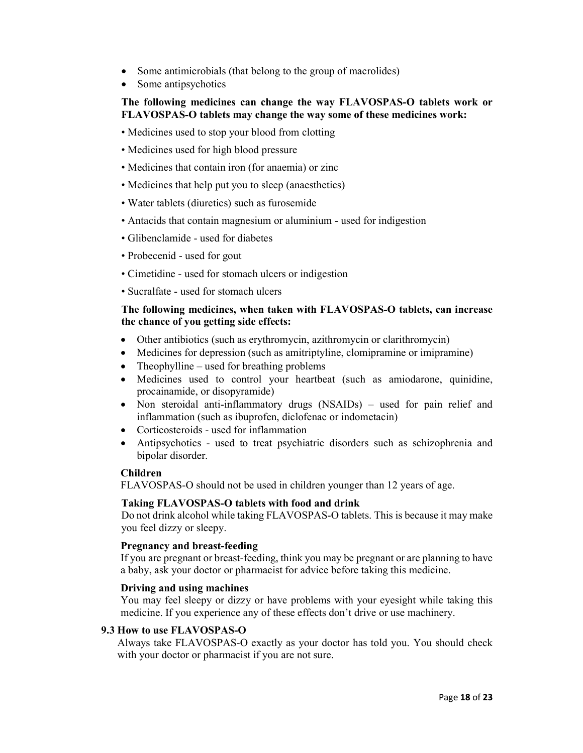- Some antimicrobials (that belong to the group of macrolides)
- Some antipsychotics

# The following medicines can change the way FLAVOSPAS-O tablets work or FLAVOSPAS-O tablets may change the way some of these medicines work:

- Medicines used to stop your blood from clotting
- Medicines used for high blood pressure
- Medicines that contain iron (for anaemia) or zinc
- Medicines that help put you to sleep (anaesthetics)
- Water tablets (diuretics) such as furosemide
- Antacids that contain magnesium or aluminium used for indigestion
- Glibenclamide used for diabetes
- Probecenid used for gout
- Cimetidine used for stomach ulcers or indigestion
- Sucralfate used for stomach ulcers

# The following medicines, when taken with FLAVOSPAS-O tablets, can increase the chance of you getting side effects:

- Other antibiotics (such as erythromycin, azithromycin or clarithromycin)
- Medicines for depression (such as amitriptyline, clomipramine or imipramine)
- Theophylline used for breathing problems
- Medicines used to control your heartbeat (such as amiodarone, quinidine, procainamide, or disopyramide)
- Non steroidal anti-inflammatory drugs (NSAIDs) used for pain relief and inflammation (such as ibuprofen, diclofenac or indometacin)
- Corticosteroids used for inflammation
- Antipsychotics used to treat psychiatric disorders such as schizophrenia and bipolar disorder.

# Children

FLAVOSPAS-O should not be used in children younger than 12 years of age.

# Taking FLAVOSPAS-O tablets with food and drink

Do not drink alcohol while taking FLAVOSPAS-O tablets. This is because it may make you feel dizzy or sleepy.

# Pregnancy and breast-feeding

If you are pregnant or breast-feeding, think you may be pregnant or are planning to have a baby, ask your doctor or pharmacist for advice before taking this medicine.

# Driving and using machines

You may feel sleepy or dizzy or have problems with your eyesight while taking this medicine. If you experience any of these effects don't drive or use machinery.

# 9.3 How to use FLAVOSPAS-O

Always take FLAVOSPAS-O exactly as your doctor has told you. You should check with your doctor or pharmacist if you are not sure.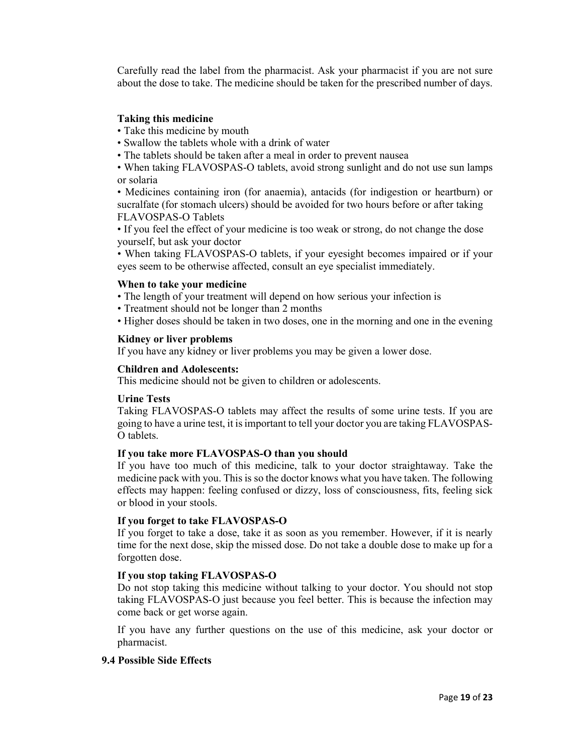Carefully read the label from the pharmacist. Ask your pharmacist if you are not sure about the dose to take. The medicine should be taken for the prescribed number of days.

### Taking this medicine

- Take this medicine by mouth
- Swallow the tablets whole with a drink of water
- The tablets should be taken after a meal in order to prevent nausea

• When taking FLAVOSPAS-O tablets, avoid strong sunlight and do not use sun lamps or solaria

• Medicines containing iron (for anaemia), antacids (for indigestion or heartburn) or sucralfate (for stomach ulcers) should be avoided for two hours before or after taking FLAVOSPAS-O Tablets

• If you feel the effect of your medicine is too weak or strong, do not change the dose yourself, but ask your doctor

• When taking FLAVOSPAS-O tablets, if your eyesight becomes impaired or if your eyes seem to be otherwise affected, consult an eye specialist immediately.

#### When to take your medicine

- The length of your treatment will depend on how serious your infection is
- Treatment should not be longer than 2 months
- Higher doses should be taken in two doses, one in the morning and one in the evening

### Kidney or liver problems

If you have any kidney or liver problems you may be given a lower dose.

### Children and Adolescents:

This medicine should not be given to children or adolescents.

#### Urine Tests

Taking FLAVOSPAS-O tablets may affect the results of some urine tests. If you are going to have a urine test, it is important to tell your doctor you are taking FLAVOSPAS-O tablets.

#### If you take more FLAVOSPAS-O than you should

If you have too much of this medicine, talk to your doctor straightaway. Take the medicine pack with you. This is so the doctor knows what you have taken. The following effects may happen: feeling confused or dizzy, loss of consciousness, fits, feeling sick or blood in your stools.

# If you forget to take FLAVOSPAS-O

If you forget to take a dose, take it as soon as you remember. However, if it is nearly time for the next dose, skip the missed dose. Do not take a double dose to make up for a forgotten dose.

# If you stop taking FLAVOSPAS-O

Do not stop taking this medicine without talking to your doctor. You should not stop taking FLAVOSPAS-O just because you feel better. This is because the infection may come back or get worse again.

If you have any further questions on the use of this medicine, ask your doctor or pharmacist.

#### 9.4 Possible Side Effects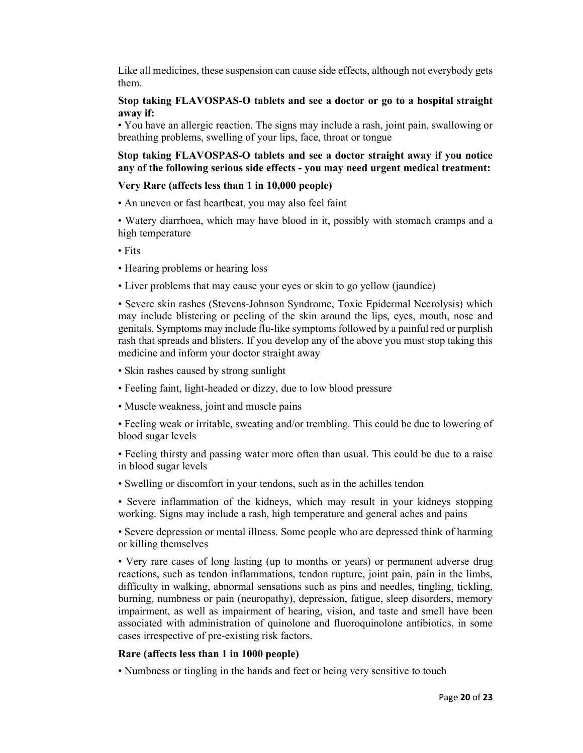Like all medicines, these suspension can cause side effects, although not everybody gets them.

# Stop taking FLAVOSPAS-O tablets and see a doctor or go to a hospital straight away if:

• You have an allergic reaction. The signs may include a rash, joint pain, swallowing or breathing problems, swelling of your lips, face, throat or tongue

# Stop taking FLAVOSPAS-O tablets and see a doctor straight away if you notice any of the following serious side effects - you may need urgent medical treatment:

# Very Rare (affects less than 1 in 10,000 people)

• An uneven or fast heartbeat, you may also feel faint

• Watery diarrhoea, which may have blood in it, possibly with stomach cramps and a high temperature

- Fits
- Hearing problems or hearing loss
- Liver problems that may cause your eyes or skin to go yellow (jaundice)

• Severe skin rashes (Stevens-Johnson Syndrome, Toxic Epidermal Necrolysis) which may include blistering or peeling of the skin around the lips, eyes, mouth, nose and genitals. Symptoms may include flu-like symptoms followed by a painful red or purplish rash that spreads and blisters. If you develop any of the above you must stop taking this medicine and inform your doctor straight away

- Skin rashes caused by strong sunlight
- Feeling faint, light-headed or dizzy, due to low blood pressure
- Muscle weakness, joint and muscle pains
- Feeling weak or irritable, sweating and/or trembling. This could be due to lowering of blood sugar levels

• Feeling thirsty and passing water more often than usual. This could be due to a raise in blood sugar levels

- Swelling or discomfort in your tendons, such as in the achilles tendon
- Severe inflammation of the kidneys, which may result in your kidneys stopping working. Signs may include a rash, high temperature and general aches and pains

• Severe depression or mental illness. Some people who are depressed think of harming or killing themselves

• Very rare cases of long lasting (up to months or years) or permanent adverse drug reactions, such as tendon inflammations, tendon rupture, joint pain, pain in the limbs, difficulty in walking, abnormal sensations such as pins and needles, tingling, tickling, burning, numbness or pain (neuropathy), depression, fatigue, sleep disorders, memory impairment, as well as impairment of hearing, vision, and taste and smell have been associated with administration of quinolone and fluoroquinolone antibiotics, in some cases irrespective of pre-existing risk factors.

# Rare (affects less than 1 in 1000 people)

• Numbness or tingling in the hands and feet or being very sensitive to touch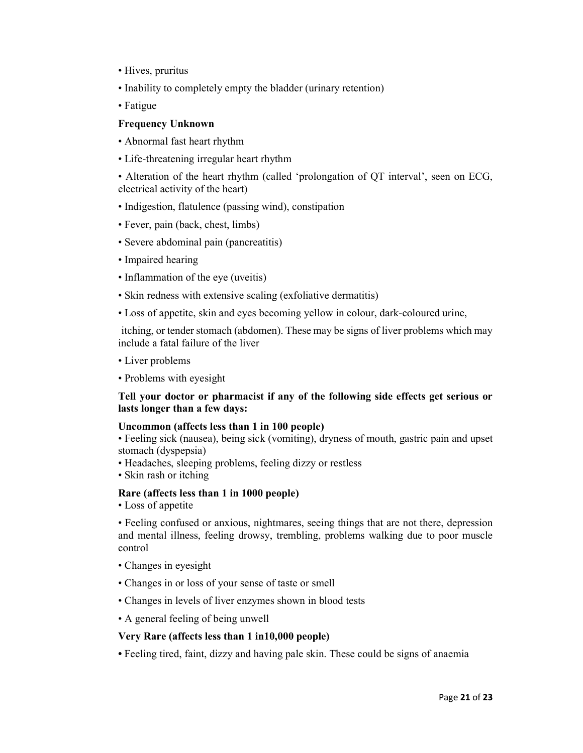- Hives, pruritus
- Inability to completely empty the bladder (urinary retention)
- Fatigue

### Frequency Unknown

- Abnormal fast heart rhythm
- Life-threatening irregular heart rhythm

• Alteration of the heart rhythm (called 'prolongation of QT interval', seen on ECG, electrical activity of the heart)

- Indigestion, flatulence (passing wind), constipation
- Fever, pain (back, chest, limbs)
- Severe abdominal pain (pancreatitis)
- Impaired hearing
- Inflammation of the eye (uveitis)
- Skin redness with extensive scaling (exfoliative dermatitis)
- Loss of appetite, skin and eyes becoming yellow in colour, dark-coloured urine,

itching, or tender stomach (abdomen). These may be signs of liver problems which may include a fatal failure of the liver

- Liver problems
- Problems with eyesight

# Tell your doctor or pharmacist if any of the following side effects get serious or lasts longer than a few days:

# Uncommon (affects less than 1 in 100 people)

• Feeling sick (nausea), being sick (vomiting), dryness of mouth, gastric pain and upset stomach (dyspepsia)

- Headaches, sleeping problems, feeling dizzy or restless
- Skin rash or itching

# Rare (affects less than 1 in 1000 people)

• Loss of appetite

• Feeling confused or anxious, nightmares, seeing things that are not there, depression and mental illness, feeling drowsy, trembling, problems walking due to poor muscle control

- Changes in eyesight
- Changes in or loss of your sense of taste or smell
- Changes in levels of liver enzymes shown in blood tests
- A general feeling of being unwell

# Very Rare (affects less than 1 in10,000 people)

• Feeling tired, faint, dizzy and having pale skin. These could be signs of anaemia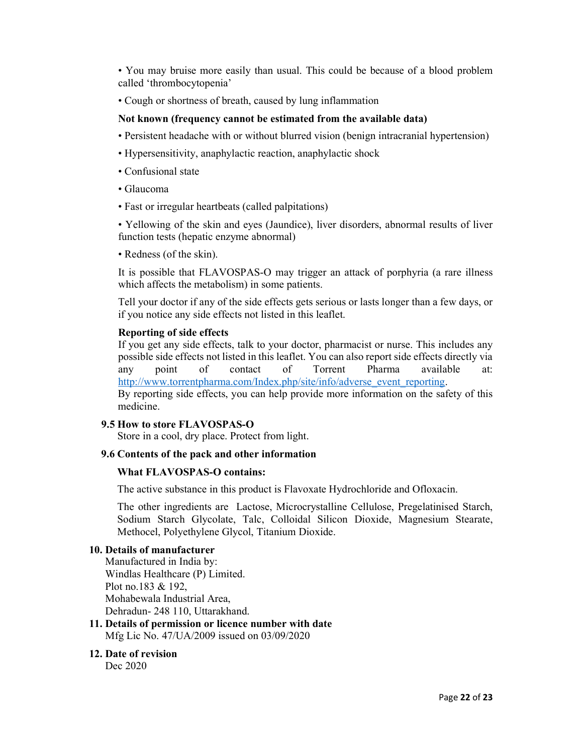• You may bruise more easily than usual. This could be because of a blood problem called 'thrombocytopenia'

• Cough or shortness of breath, caused by lung inflammation

# Not known (frequency cannot be estimated from the available data)

- Persistent headache with or without blurred vision (benign intracranial hypertension)
- Hypersensitivity, anaphylactic reaction, anaphylactic shock
- Confusional state
- Glaucoma
- Fast or irregular heartbeats (called palpitations)

• Yellowing of the skin and eyes (Jaundice), liver disorders, abnormal results of liver function tests (hepatic enzyme abnormal)

• Redness (of the skin).

It is possible that FLAVOSPAS-O may trigger an attack of porphyria (a rare illness which affects the metabolism) in some patients.

Tell your doctor if any of the side effects gets serious or lasts longer than a few days, or if you notice any side effects not listed in this leaflet.

#### Reporting of side effects

If you get any side effects, talk to your doctor, pharmacist or nurse. This includes any possible side effects not listed in this leaflet. You can also report side effects directly via any point of contact of Torrent Pharma available at: http://www.torrentpharma.com/Index.php/site/info/adverse\_event\_reporting. By reporting side effects, you can help provide more information on the safety of this medicine.

# 9.5 How to store FLAVOSPAS-O

Store in a cool, dry place. Protect from light.

#### 9.6 Contents of the pack and other information

#### What FLAVOSPAS-O contains:

The active substance in this product is Flavoxate Hydrochloride and Ofloxacin.

The other ingredients are Lactose, Microcrystalline Cellulose, Pregelatinised Starch, Sodium Starch Glycolate, Talc, Colloidal Silicon Dioxide, Magnesium Stearate, Methocel, Polyethylene Glycol, Titanium Dioxide.

# 10. Details of manufacturer

Manufactured in India by: Windlas Healthcare (P) Limited. Plot no.183 & 192, Mohabewala Industrial Area, Dehradun- 248 110, Uttarakhand.

11. Details of permission or licence number with date Mfg Lic No. 47/UA/2009 issued on 03/09/2020

# 12. Date of revision

Dec 2020